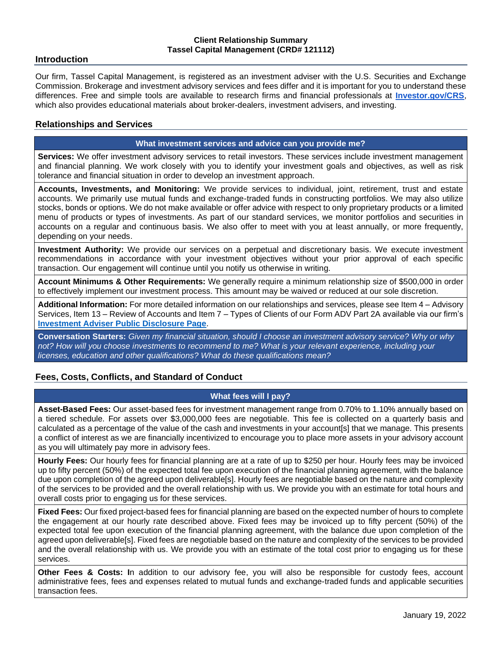#### **Client Relationship Summary Tassel Capital Management (CRD# 121112)**

### **Introduction**

Our firm, Tassel Capital Management, is registered as an investment adviser with the U.S. Securities and Exchange Commission. Brokerage and investment advisory services and fees differ and it is important for you to understand these differences. Free and simple tools are available to research firms and financial professionals at **[Investor.gov/CRS](http://investor.gov/CRS)**, which also provides educational materials about broker-dealers, investment advisers, and investing.

## **Relationships and Services**

#### **What investment services and advice can you provide me?**

**Services:** We offer investment advisory services to retail investors. These services include investment management and financial planning. We work closely with you to identify your investment goals and objectives, as well as risk tolerance and financial situation in order to develop an investment approach.

**Accounts, Investments, and Monitoring:** We provide services to individual, joint, retirement, trust and estate accounts. We primarily use mutual funds and exchange-traded funds in constructing portfolios. We may also utilize stocks, bonds or options. We do not make available or offer advice with respect to only proprietary products or a limited menu of products or types of investments. As part of our standard services, we monitor portfolios and securities in accounts on a regular and continuous basis. We also offer to meet with you at least annually, or more frequently, depending on your needs.

**Investment Authority:** We provide our services on a perpetual and discretionary basis. We execute investment recommendations in accordance with your investment objectives without your prior approval of each specific transaction. Our engagement will continue until you notify us otherwise in writing.

**Account Minimums & Other Requirements:** We generally require a minimum relationship size of \$500,000 in order to effectively implement our investment process. This amount may be waived or reduced at our sole discretion.

**Additional Information:** For more detailed information on our relationships and services, please see Item 4 – Advisory Services, Item 13 – Review of Accounts and Item 7 – Types of Clients of our Form ADV Part 2A available via our firm's **[Investment Adviser Public Disclosure Page](https://adviserinfo.sec.gov/firm/summary/121112)**.

**Conversation Starters:** *Given my financial situation, should I choose an investment advisory service? Why or why not? How will you choose investments to recommend to me? What is your relevant experience, including your licenses, education and other qualifications? What do these qualifications mean?*

## **Fees, Costs, Conflicts, and Standard of Conduct**

## **What fees will I pay?**

**Asset-Based Fees:** Our asset-based fees for investment management range from 0.70% to 1.10% annually based on a tiered schedule. For assets over \$3,000,000 fees are negotiable. This fee is collected on a quarterly basis and calculated as a percentage of the value of the cash and investments in your account[s] that we manage. This presents a conflict of interest as we are financially incentivized to encourage you to place more assets in your advisory account as you will ultimately pay more in advisory fees.

**Hourly Fees:** Our hourly fees for financial planning are at a rate of up to \$250 per hour. Hourly fees may be invoiced up to fifty percent (50%) of the expected total fee upon execution of the financial planning agreement, with the balance due upon completion of the agreed upon deliverable[s]. Hourly fees are negotiable based on the nature and complexity of the services to be provided and the overall relationship with us. We provide you with an estimate for total hours and overall costs prior to engaging us for these services.

**Fixed Fees:** Our fixed project-based fees for financial planning are based on the expected number of hours to complete the engagement at our hourly rate described above. Fixed fees may be invoiced up to fifty percent (50%) of the expected total fee upon execution of the financial planning agreement, with the balance due upon completion of the agreed upon deliverable[s]. Fixed fees are negotiable based on the nature and complexity of the services to be provided and the overall relationship with us. We provide you with an estimate of the total cost prior to engaging us for these services.

**Other Fees & Costs: I**n addition to our advisory fee, you will also be responsible for custody fees, account administrative fees, fees and expenses related to mutual funds and exchange-traded funds and applicable securities transaction fees.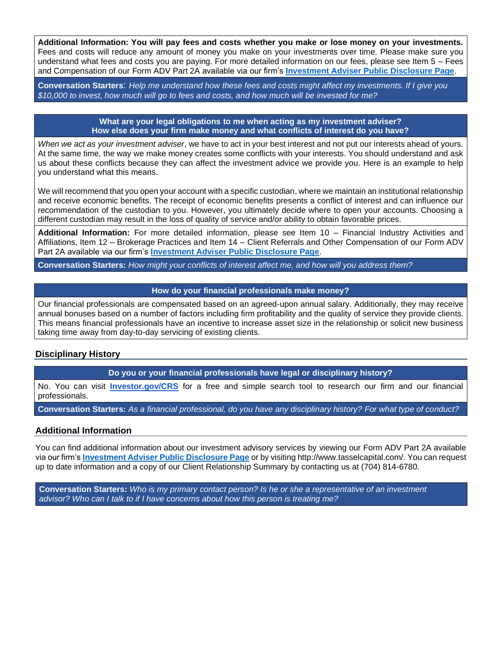**Additional Information: You will pay fees and costs whether you make or lose money on your investments.**  Fees and costs will reduce any amount of money you make on your investments over time. Please make sure you understand what fees and costs you are paying. For more detailed information on our fees, please see Item 5 – Fees and Compensation of our Form ADV Part 2A available via our firm's **[Investment Adviser Public Disclosure Page](https://adviserinfo.sec.gov/firm/summary/121112)**.

**Conversation Starters**: *Help me understand how these fees and costs might affect my investments. If I give you \$10,000 to invest, how much will go to fees and costs, and how much will be invested for me?*

> **What are your legal obligations to me when acting as my investment adviser? How else does your firm make money and what conflicts of interest do you have?**

*When we act as your investment adviser*, we have to act in your best interest and not put our interests ahead of yours. At the same time, the way we make money creates some conflicts with your interests. You should understand and ask us about these conflicts because they can affect the investment advice we provide you. Here is an example to help you understand what this means.

We will recommend that you open your account with a specific custodian, where we maintain an institutional relationship and receive economic benefits. The receipt of economic benefits presents a conflict of interest and can influence our recommendation of the custodian to you. However, you ultimately decide where to open your accounts. Choosing a different custodian may result in the loss of quality of service and/or ability to obtain favorable prices.

**Additional Information:** For more detailed information, please see Item 10 – Financial Industry Activities and Affiliations, Item 12 – Brokerage Practices and Item 14 – Client Referrals and Other Compensation of our Form ADV Part 2A available via our firm's **[Investment Adviser Public Disclosure Page](https://adviserinfo.sec.gov/firm/summary/121112)**.

**Conversation Starters:** *How might your conflicts of interest affect me, and how will you address them?*

#### **How do your financial professionals make money?**

Our financial professionals are compensated based on an agreed-upon annual salary. Additionally, they may receive annual bonuses based on a number of factors including firm profitability and the quality of service they provide clients. This means financial professionals have an incentive to increase asset size in the relationship or solicit new business taking time away from day-to-day servicing of existing clients.

## **Disciplinary History**

**Do you or your financial professionals have legal or disciplinary history?**

No. You can visit **[Investor.gov/CRS](http://investor.gov/CRS)** for a free and simple search tool to research our firm and our financial professionals.

**Conversation Starters:** *As a financial professional, do you have any disciplinary history? For what type of conduct?*

#### **Additional Information**

You can find additional information about our investment advisory services by viewing our Form ADV Part 2A available via our firm's **[Investment Adviser Public Disclosure Page](https://adviserinfo.sec.gov/firm/summary/121112)** or by visiting http://www.tasselcapital.com/. You can request up to date information and a copy of our Client Relationship Summary by contacting us at (704) 814-6780.

**Conversation Starters:** *Who is my primary contact person? Is he or she a representative of an investment advisor? Who can I talk to if I have concerns about how this person is treating me?*